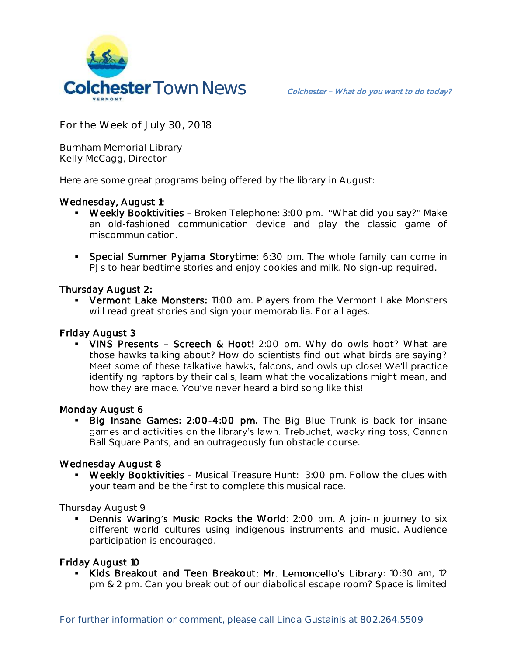

**For the Week of July 30, 2018**

**Burnham Memorial Library Kelly McCagg, Director**

Here are some great programs being offered by the library in August:

# Wednesday, August 1:

- Weekly Booktivities Broken Telephone: 3:00 pm. "What did you say?" Make an old-fashioned communication device and play the classic game of miscommunication.
- **Special Summer Pyjama Storytime:** 6:30 pm. The whole family can come in PJs to hear bedtime stories and enjoy cookies and milk. No sign-up required.

### Thursday August 2:

**• Vermont Lake Monsters:** 11:00 am. Players from the Vermont Lake Monsters will read great stories and sign your memorabilia. For all ages.

### Friday August 3

• VINS Presents - Screech & Hoot! 2:00 pm. Why do owls hoot? What are those hawks talking about? How do scientists find out what birds are saying? Meet some of these talkative hawks, falcons, and owls up close! We'll practice identifying raptors by their calls, learn what the vocalizations might mean, and how they are made. You've never heard a bird song like this!

### Monday August 6

**Big Insane Games: 2:00-4:00 pm.** The Big Blue Trunk is back for insane games and activities on the library's lawn. Trebuchet, wacky ring toss, Cannon Ball Square Pants, and an outrageously fun obstacle course.

### Wednesday August 8

 Weekly Booktivities - Musical Treasure Hunt: 3:00 pm. Follow the clues with your team and be the first to complete this musical race.

Thursday August 9

Dennis Waring's Music Rocks the World: 2:00 pm. A join-in journey to six different world cultures using indigenous instruments and music. Audience participation is encouraged.

### Friday August 10

Kids Breakout and Teen Breakout: Mr. Lemoncello's Library: 10:30 am, 12 pm & 2 pm. Can you break out of our diabolical escape room? Space is limited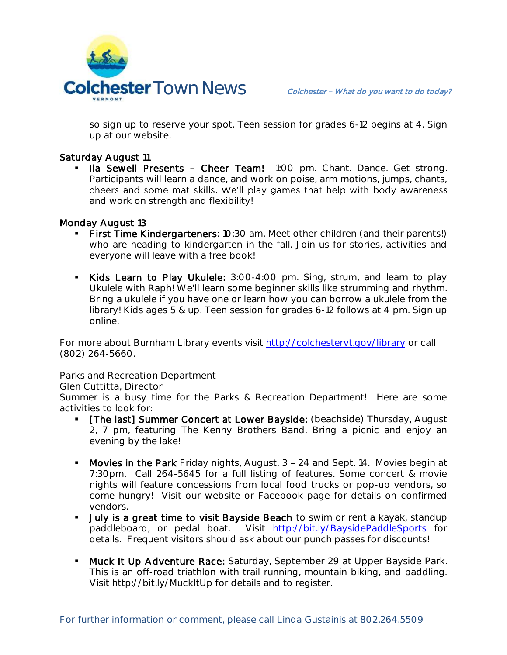

so sign up to reserve your spot. Teen session for grades 6-12 begins at 4. Sign up at our website.

## Saturday August 11

Ila Sewell Presents - Cheer Team! 1:00 pm. Chant. Dance. Get strong. Participants will learn a dance, and work on poise, arm motions, jumps, chants, cheers and some mat skills. We'll play games that help with body awareness and work on strength and flexibility!

### Monday August 13

- First Time Kindergarteners: 10:30 am. Meet other children (and their parents!) who are heading to kindergarten in the fall. Join us for stories, activities and everyone will leave with a free book!
- Kids Learn to Play Ukulele: 3:00-4:00 pm. Sing, strum, and learn to play Ukulele with Raph! We'll learn some beginner skills like strumming and rhythm. Bring a ukulele if you have one or learn how you can borrow a ukulele from the library! Kids ages 5 & up. Teen session for grades 6-12 follows at 4 pm. Sign up online.

For more about Burnham Library events visit<http://colchestervt.gov/library> or call (802) 264-5660.

**Parks and Recreation Department**

### **Glen Cuttitta, Director**

Summer is a busy time for the Parks & Recreation Department! Here are some activities to look for:

- [The last] Summer Concert at Lower Bayside: (beachside) Thursday, August 2, 7 pm, featuring The Kenny Brothers Band. Bring a picnic and enjoy an evening by the lake!
- Movies in the Park Friday nights, August. 3 24 and Sept. 14. Movies begin at 7:30pm. Call 264-5645 for a full listing of features. Some concert & movie nights will feature concessions from local food trucks or pop-up vendors, so come hungry! Visit our website or Facebook page for details on confirmed vendors.
- **July is a great time to visit Bayside Beach** to swim or rent a kayak, standup paddleboard, or pedal boat. Visit <http://bit.ly/BaysidePaddleSports> for details. Frequent visitors should ask about our punch passes for discounts!
- **Muck It Up Adventure Race:** Saturday, September 29 at Upper Bayside Park. This is an off-road triathlon with trail running, mountain biking, and paddling. Visit http://bit.ly/MuckItUp for details and to register.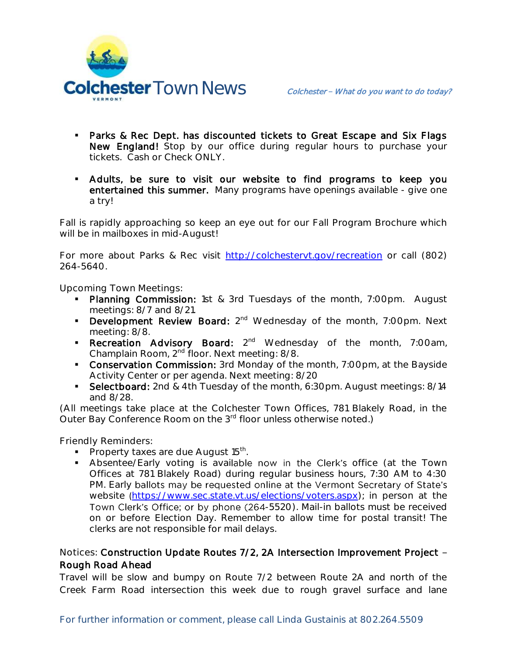

- **Parks & Rec Dept. has discounted tickets to Great Escape and Six Flags** New England! Stop by our office during regular hours to purchase your tickets. Cash or Check ONLY.
- Adults, be sure to visit our website to find programs to keep you entertained this summer. Many programs have openings available - give one a try!

Fall is rapidly approaching so keep an eye out for our Fall Program Brochure which will be in mailboxes in mid-August!

For more about Parks & Rec visit [http://colchestervt.gov/recreation](http://colchestervt.gov/Recreation/parksNRec.shtml) or call (802) 264-5640.

**Upcoming Town Meetings:** 

- Planning Commission: 1st & 3rd Tuesdays of the month, 7:00pm. August meetings: 8/7 and 8/21.
- **Development Review Board:**  $2^{nd}$  Wednesday of the month, 7:00pm. Next meeting: 8/8.
- **Recreation Advisory Board:** 2<sup>nd</sup> Wednesday of the month, 7:00am, Champlain Room, 2nd floor. Next meeting: 8/8.
- **Conservation Commission:** 3rd Monday of the month, 7:00pm, at the Bayside Activity Center or per agenda. Next meeting: 8/20
- Selectboard: 2nd & 4th Tuesday of the month, 6:30pm. August meetings: 8/14 and 8/28.

(All meetings take place at the Colchester Town Offices, 781 Blakely Road, in the Outer Bay Conference Room on the 3<sup>rd</sup> floor unless otherwise noted.)

**Friendly Reminders:** 

- Property taxes are due August  $15<sup>th</sup>$ .
- Absentee/Early voting is available now in the Clerk's office (at the Town Offices at 781 Blakely Road) during regular business hours, 7:30 AM to 4:30 PM. Early ballots may be requested online at the Vermont Secretary of State's website ([https://www.sec.state.vt.us/elections/voters.aspx\)](https://www.sec.state.vt.us/elections/voters.aspx); in person at the Town Clerk's Office; or by phone (264-5520). Mail-in ballots must be received on or before Election Day. Remember to allow time for postal transit! The clerks are not responsible for mail delays.

# **Notices:** Construction Update Routes 7/2, 2A Intersection Improvement Project Rough Road Ahead

Travel will be slow and bumpy on Route 7/2 between Route 2A and north of the Creek Farm Road intersection this week due to rough gravel surface and lane